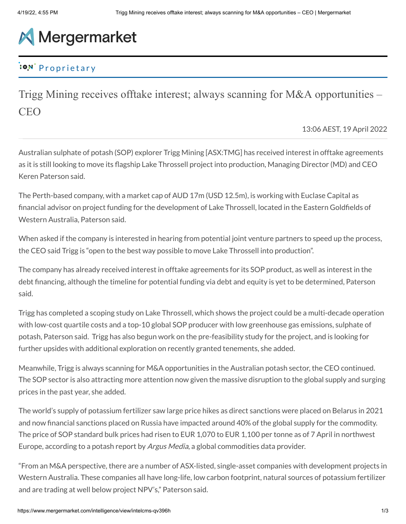## **A** Mergermarket

## **Proprietary**

Trigg Mining receives offtake interest; always scanning for M&A opportunities – CEO

13:06 AEST, 19 April 2022

Australian sulphate of potash (SOP) explorer Trigg Mining [ASX:TMG] has received interest in offtake agreements as it is still looking to move its flagship Lake Throssell project into production, Managing Director (MD) and CEO Keren Paterson said.

The Perth-based company, with a market cap of AUD 17m (USD 12.5m), is working with Euclase Capital as financial advisor on project funding for the development of Lake Throssell, located in the Eastern Goldfields of Western Australia, Paterson said.

When asked if the company is interested in hearing from potential joint venture partners to speed up the process, the CEO said Trigg is "open to the best way possible to move Lake Throssell into production".

The company has already received interest in offtake agreements for its SOP product, as well as interest in the debt financing, although the timeline for potential funding via debt and equity is yet to be determined, Paterson said.

Trigg has completed a scoping study on Lake Throssell, which shows the project could be a multi-decade operation with low-cost quartile costs and a top-10 global SOP producer with low greenhouse gas emissions, sulphate of potash, Paterson said. Trigg has also begun work on the pre-feasibility study for the project, and is looking for further upsides with additional exploration on recently granted tenements, she added.

Meanwhile, Trigg is always scanning for M&A opportunities in the Australian potash sector, the CEO continued. The SOP sector is also attracting more attention now given the massive disruption to the global supply and surging prices in the past year, she added.

The world's supply of potassium fertilizer saw large price hikes as direct sanctions were placed on Belarus in 2021 and now financial sanctions placed on Russia have impacted around 40% of the global supply for the commodity. The price of SOP standard bulk prices had risen to EUR 1,070 to EUR 1,100 per tonne as of 7 April in northwest Europe, according to a potash report by *Argus Media*, a global commodities data provider.

"From an M&A perspective, there are a number of ASX-listed, single-asset companies with development projects in Western Australia. These companies all have long-life, low carbon footprint, natural sources of potassium fertilizer and are trading at well below project NPV's," Paterson said.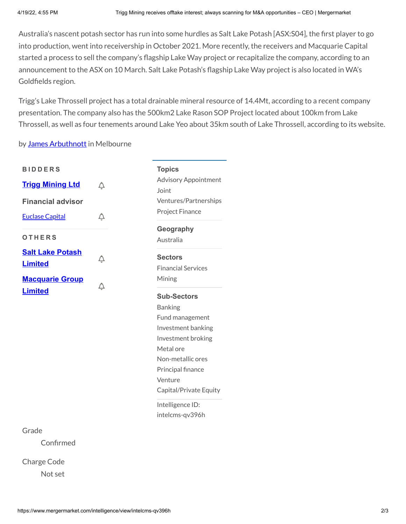Australia's nascent potash sector has run into some hurdles as Salt Lake Potash [ASX:S04], the first player to go into production, went into receivership in October 2021. More recently, the receivers and Macquarie Capital started a process to sell the company's flagship Lake Way project or recapitalize the company, according to an announcement to the ASX on 10 March. Salt Lake Potash's flagship Lake Way project is also located in WA's Goldfields region.

Trigg's Lake Throssell project has a total drainable mineral resource of 14.4Mt, according to a recent company presentation. The company also has the 500km2 Lake Rason SOP Project located about 100km from Lake Throssell, as well as four tenements around Lake Yeo about 35km south of Lake Throssell, according to its website.

by James [Arbuthnott](mailto:james.arbuthnott@iongroup.com) in Melbourne

| <b>BIDDERS</b>           |   | <b>Topics</b>                        |
|--------------------------|---|--------------------------------------|
| <b>Trigg Mining Ltd</b>  |   | <b>Advisory Appointment</b><br>Joint |
| <b>Financial advisor</b> |   | Ventures/Partnerships                |
| <b>Euclase Capital</b>   | Q | Project Finance                      |
|                          |   | Geography                            |
| <b>OTHERS</b>            |   | Australia                            |
| <b>Salt Lake Potash</b>  | Ô | <b>Sectors</b>                       |
| <b>Limited</b>           |   | <b>Financial Services</b>            |
| <b>Macquarie Group</b>   | Ô | Mining                               |
| <b>Limited</b>           |   | <b>Sub-Sectors</b>                   |
|                          |   | <b>Banking</b>                       |
|                          |   | Fund management                      |
|                          |   | Investment banking                   |
|                          |   | Investment broking                   |
|                          |   | Metal ore                            |
|                          |   | Non-metallic ores                    |
|                          |   | Principal finance                    |
|                          |   | Venture                              |
|                          |   | Capital/Private Equity               |

Intelligence ID: intelcms-qv396h

## Grade

Confirmed

Charge Code Not set